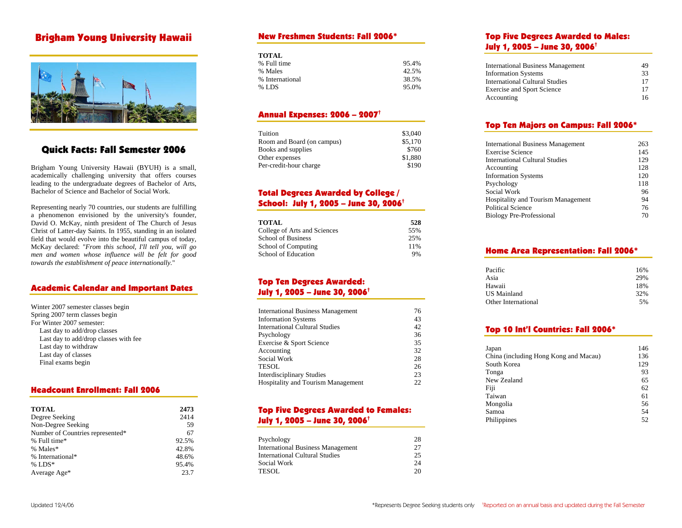# Brigham Young University Hawaii



# Quick Facts: Fall Semester 2006

Brigham Young University Hawaii ( BYUH) is a s mall, acade mically challenging university that offers courses leading to the undergraduate degrees of Bachelor of Arts, Bachelor of Science and Bachelor of Social Work.

Representing nearly 70 countries, our students are fulfilling a pheno menon envisioned by the university's founder, David O. McKay, ninth president of The Church of Jesus Christ of Latter-day Saints. In 1955, standing in an isolated field that would evolve into the beautiful campus of today, McKay declared: "*From this school, I'll tell you, will go men and women whose influence will be felt for good towards the establishment of peace internationally.*"

## Academic Calendar and I mportant Dates

| Winter 2007 semester classes begin    |
|---------------------------------------|
| Spring 2007 term classes begin        |
| For Winter 2007 semester:             |
| Last day to add/drop classes          |
| Last day to add/drop classes with fee |
| Last day to withdraw                  |
| Last day of classes                   |
| Final exams begin                     |

### Headcount Enrollment: Fall 2006

| <b>TOTAL</b>                     | 2473  |
|----------------------------------|-------|
| Degree Seeking                   | 2414  |
| Non-Degree Seeking               | 59    |
| Number of Countries represented* | 67    |
| % Full time*                     | 92.5% |
| % Males*                         | 42.8% |
| % International*                 | 48.6% |
| % $LDS^*$                        | 95.4% |
| Average Age*                     | 23.7  |

#### New Freshmen Students: Fall 2006\*

| <b>TOTAL</b>    |       |
|-----------------|-------|
| % Full time     | 95.4% |
| % Males         | 42.5% |
| % International | 38.5% |
| $%$ LDS         | 95.0% |

## Annual Expenses: 2006 – 2007†

| Tuition                    | \$3,040 |
|----------------------------|---------|
| Room and Board (on campus) | \$5,170 |
| Books and supplies         | \$760   |
| Other expenses             | \$1,880 |
| Per-credit-hour charge     | \$190   |

## Total Degrees Awarded by College / School: July 1, 2005 – June 30, 2006†

| TOTAL                        | 528 |
|------------------------------|-----|
| College of Arts and Sciences | 55% |
| <b>School of Business</b>    | 25% |
| School of Computing          | 11% |
| School of Education          | 9%  |

## Top Ten Degrees Awarded: July 1, 2005 – June 30, 2006†

| <b>International Business Management</b>  | 76 |
|-------------------------------------------|----|
| <b>Information Systems</b>                | 43 |
| <b>International Cultural Studies</b>     | 42 |
| Psychology                                | 36 |
| Exercise & Sport Science                  | 35 |
| Accounting                                | 32 |
| Social Work                               | 28 |
| TESOL                                     | 26 |
| <b>Interdisciplinary Studies</b>          | 23 |
| <b>Hospitality and Tourism Management</b> | 22 |

## Top Five Degrees Awarded to Females: July 1, 2005 – June 30, 2006†

| Psychology                               | 28 |
|------------------------------------------|----|
| <b>International Business Management</b> | 27 |
| <b>International Cultural Studies</b>    | 25 |
| Social Work                              | 24 |
| <b>TESOL</b>                             | 20 |

## Top Five Degrees Awarded to Males: July 1, 2005 – June 30, 2006†

| <b>International Business Management</b> | 49 |
|------------------------------------------|----|
| <b>Information Systems</b>               | 33 |
| <b>International Cultural Studies</b>    | 17 |
| <b>Exercise and Sport Science</b>        | 17 |
| Accounting                               | 16 |

## Top Ten Maj ors on Campus: Fall 2006\*

| <b>International Business Management</b> | 263 |
|------------------------------------------|-----|
| <b>Exercise Science</b>                  | 145 |
| International Cultural Studies           | 129 |
| Accounting                               | 128 |
| <b>Information Systems</b>               | 120 |
| Psychology                               | 118 |
| Social Work                              | 96  |
| Hospitality and Tourism Management       | 94  |
| <b>Political Science</b>                 | 76  |
| <b>Biology Pre-Professional</b>          | 70  |

## Home Area Representatio n: Fall 2006\*

| Pacific             | 16% |
|---------------------|-----|
| Asia                | 29% |
| Hawaii              | 18% |
| <b>US</b> Mainland  | 32% |
| Other International | 5%  |

#### Top 10 Int'l Countries: Fall 2006\*

| Japan                                 | 146 |
|---------------------------------------|-----|
| China (including Hong Kong and Macau) | 136 |
| South Korea                           | 129 |
| Tonga                                 | 93  |
| New Zealand                           | 65  |
| Fiji                                  | 62  |
| Taiwan                                | 61  |
| Mongolia                              | 56  |
| Samoa                                 | 54  |
| Philippines                           | 52  |